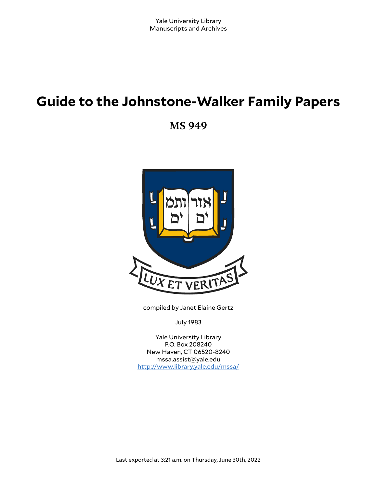# **Guide to the Johnstone-Walker Family Papers**

**MS 949**



compiled by Janet Elaine Gertz

July 1983

Yale University Library P.O. Box 208240 New Haven, CT 06520-8240 mssa.assist@yale.edu <http://www.library.yale.edu/mssa/>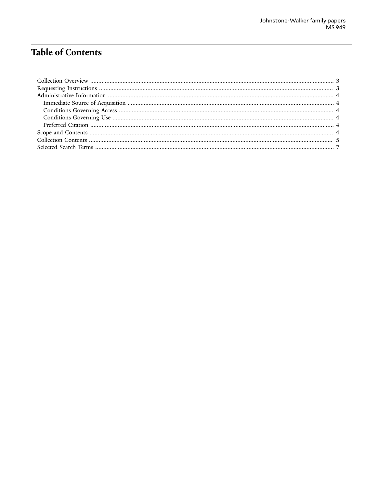# **Table of Contents**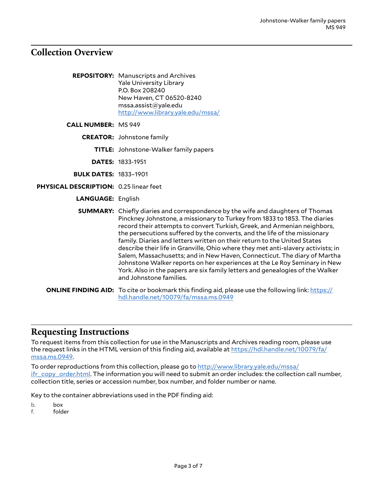### <span id="page-2-0"></span>**Collection Overview**

| <b>REPOSITORY:</b> Manuscripts and Archives |
|---------------------------------------------|
| <b>Yale University Library</b>              |
| P.O. Box 208240                             |
| New Haven, CT 06520-8240                    |
| mssa.assist@yale.edu                        |
| http://www.library.yale.edu/mssa/           |
|                                             |

**CALL NUMBER:** MS 949

**CREATOR:** Johnstone family

**TITLE:** Johnstone-Walker family papers

**DATES:** 1833-1951

- **BULK DATES:** 1833–1901
- **PHYSICAL DESCRIPTION:** 0.25 linear feet

#### **LANGUAGE:** English

**SUMMARY:** Chiefly diaries and correspondence by the wife and daughters of Thomas Pinckney Johnstone, a missionary to Turkey from 1833 to 1853. The diaries record their attempts to convert Turkish, Greek, and Armenian neighbors, the persecutions suffered by the converts, and the life of the missionary family. Diaries and letters written on their return to the United States describe their life in Granville, Ohio where they met anti-slavery activists; in Salem, Massachusetts; and in New Haven, Connecticut. The diary of Martha Johnstone Walker reports on her experiences at the Le Roy Seminary in New York. Also in the papers are six family letters and genealogies of the Walker and Johnstone families.

**ONLINE FINDING AID:** To cite or bookmark this finding aid, please use the following link: [https://](https://hdl.handle.net/10079/fa/mssa.ms.0949) [hdl.handle.net/10079/fa/mssa.ms.0949](https://hdl.handle.net/10079/fa/mssa.ms.0949)

#### <span id="page-2-1"></span>**Requesting Instructions**

To request items from this collection for use in the Manuscripts and Archives reading room, please use the request links in the HTML version of this finding aid, available at [https://hdl.handle.net/10079/fa/](https://hdl.handle.net/10079/fa/mssa.ms.0949) [mssa.ms.0949](https://hdl.handle.net/10079/fa/mssa.ms.0949).

To order reproductions from this collection, please go to [http://www.library.yale.edu/mssa/](http://www.library.yale.edu/mssa/ifr_copy_order.html) [ifr\\_copy\\_order.html.](http://www.library.yale.edu/mssa/ifr_copy_order.html) The information you will need to submit an order includes: the collection call number, collection title, series or accession number, box number, and folder number or name.

Key to the container abbreviations used in the PDF finding aid:

b. box

f. folder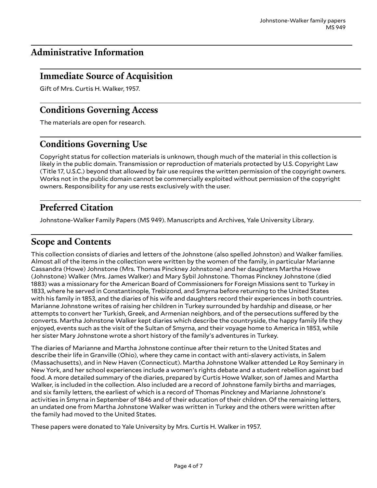# <span id="page-3-0"></span>**Administrative Information**

## <span id="page-3-1"></span>**Immediate Source of Acquisition**

Gift of Mrs. Curtis H. Walker, 1957.

## <span id="page-3-2"></span>**Conditions Governing Access**

The materials are open for research.

# <span id="page-3-3"></span>**Conditions Governing Use**

Copyright status for collection materials is unknown, though much of the material in this collection is likely in the public domain. Transmission or reproduction of materials protected by U.S. Copyright Law (Title 17, U.S.C.) beyond that allowed by fair use requires the written permission of the copyright owners. Works not in the public domain cannot be commercially exploited without permission of the copyright owners. Responsibility for any use rests exclusively with the user.

# <span id="page-3-4"></span>**Preferred Citation**

Johnstone-Walker Family Papers (MS 949). Manuscripts and Archives, Yale University Library.

## <span id="page-3-5"></span>**Scope and Contents**

This collection consists of diaries and letters of the Johnstone (also spelled Johnston) and Walker families. Almost all of the items in the collection were written by the women of the family, in particular Marianne Cassandra (Howe) Johnstone (Mrs. Thomas Pinckney Johnstone) and her daughters Martha Howe (Johnstone) Walker (Mrs. James Walker) and Mary Sybil Johnstone. Thomas Pinckney Johnstone (died 1883) was a missionary for the American Board of Commissioners for Foreign Missions sent to Turkey in 1833, where he served in Constantinople, Trebizond, and Smyrna before returning to the United States with his family in 1853, and the diaries of his wife and daughters record their experiences in both countries. Marianne Johnstone writes of raising her children in Turkey surrounded by hardship and disease, or her attempts to convert her Turkish, Greek, and Armenian neighbors, and of the persecutions suffered by the converts. Martha Johnstone Walker kept diaries which describe the countryside, the happy family life they enjoyed, events such as the visit of the Sultan of Smyrna, and their voyage home to America in 1853, while her sister Mary Johnstone wrote a short history of the family's adventures in Turkey.

The diaries of Marianne and Martha Johnstone continue after their return to the United States and describe their life in Granville (Ohio), where they came in contact with anti-slavery activists, in Salem (Massachusetts), and in New Haven (Connecticut). Martha Johnstone Walker attended Le Roy Seminary in New York, and her school experiences include a women's rights debate and a student rebellion against bad food. A more detailed summary of the diaries, prepared by Curtis Howe Walker, son of James and Martha Walker, is included in the collection. Also included are a record of Johnstone family births and marriages, and six family letters, the earliest of which is a record of Thomas Pinckney and Marianne Johnstone's activities in Smyrna in September of 1846 and of their education of their children. Of the remaining letters, an undated one from Martha Johnstone Walker was written in Turkey and the others were written after the family had moved to the United States.

These papers were donated to Yale University by Mrs. Curtis H. Walker in 1957.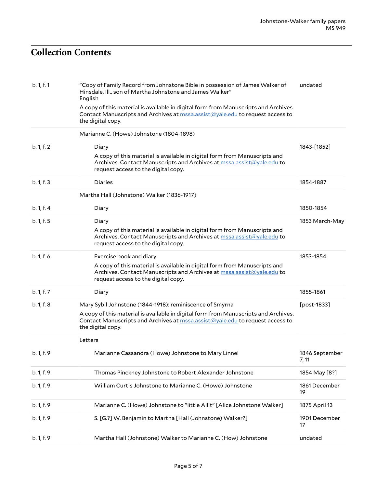# <span id="page-4-0"></span>**Collection Contents**

| b. 1, f. 1 | "Copy of Family Record from Johnstone Bible in possession of James Walker of<br>Hinsdale, Ill., son of Martha Johnstone and James Walker"<br>English                                                                 | undated                 |
|------------|----------------------------------------------------------------------------------------------------------------------------------------------------------------------------------------------------------------------|-------------------------|
|            | A copy of this material is available in digital form from Manuscripts and Archives.<br>Contact Manuscripts and Archives at <b>mssa.assist@yale.edu</b> to request access to<br>the digital copy.                     |                         |
|            | Marianne C. (Howe) Johnstone (1804-1898)                                                                                                                                                                             |                         |
| b. 1, f. 2 | Diary<br>A copy of this material is available in digital form from Manuscripts and<br>Archives. Contact Manuscripts and Archives at mssa.assist@yale.edu to<br>request access to the digital copy.                   | 1843-[1852]             |
| b. 1, f. 3 | Diaries                                                                                                                                                                                                              | 1854-1887               |
|            | Martha Hall (Johnstone) Walker (1836-1917)                                                                                                                                                                           |                         |
| b. 1, f. 4 | Diary                                                                                                                                                                                                                | 1850-1854               |
| b. 1, f. 5 | Diary<br>A copy of this material is available in digital form from Manuscripts and<br>Archives. Contact Manuscripts and Archives at mssa.assist@yale.edu to<br>request access to the digital copy.                   | 1853 March-May          |
| b. 1, f. 6 | Exercise book and diary<br>A copy of this material is available in digital form from Manuscripts and<br>Archives. Contact Manuscripts and Archives at mssa.assist@yale.edu to<br>request access to the digital copy. | 1853-1854               |
| b. 1, f. 7 | Diary                                                                                                                                                                                                                | 1855-1861               |
| b. 1, f. 8 | Mary Sybil Johnstone (1844-1918): reminiscence of Smyrna                                                                                                                                                             | [post-1833]             |
|            | A copy of this material is available in digital form from Manuscripts and Archives.<br>Contact Manuscripts and Archives at <b>mssa.assist@yale.edu</b> to request access to<br>the digital copy.                     |                         |
|            | Letters                                                                                                                                                                                                              |                         |
| b. 1, f. 9 | Marianne Cassandra (Howe) Johnstone to Mary Linnel                                                                                                                                                                   | 1846 September<br>7, 11 |
| b. 1, f. 9 | Thomas Pinckney Johnstone to Robert Alexander Johnstone                                                                                                                                                              | 1854 May [8?]           |
| b. 1, f. 9 | William Curtis Johnstone to Marianne C. (Howe) Johnstone                                                                                                                                                             | 1861 December<br>19     |
| b. 1, f. 9 | Marianne C. (Howe) Johnstone to "little Allit" [Alice Johnstone Walker]                                                                                                                                              | 1875 April 13           |
| b. 1, f. 9 | S. [G.?] W. Benjamin to Martha [Hall (Johnstone) Walker?]                                                                                                                                                            | 1901 December<br>17     |
| b. 1, f. 9 | Martha Hall (Johnstone) Walker to Marianne C. (How) Johnstone                                                                                                                                                        | undated                 |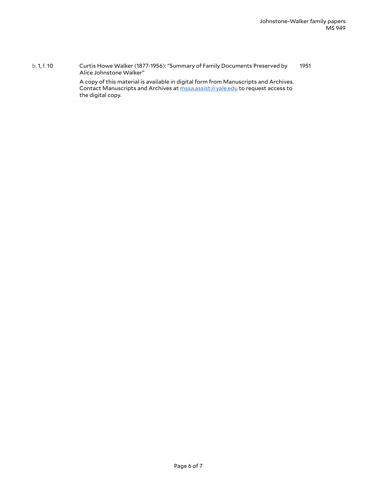b. 1, f. 10 Curtis Howe Walker (1877-1956): "Summary of Family Documents Preserved by Alice Johnstone Walker" A copy of this material is available in digital form from Manuscripts and Archives. Contact Manuscripts and Archives at [mssa.assist@yale.edu](mailto:mssa.assist@yale.edu?subject=Digital%20Copy%20Request:%20[Preservica]%20ms_0949_s01_b001_f0010(*)) to request access to the digital copy. 1951